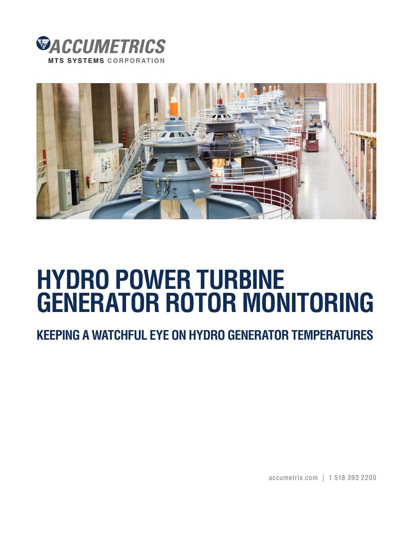



# **HYDRO POWER TURBINE GENERATOR ROTOR MONITORING**

# **KEEPING A WATCHFUL EYE ON HYDRO GENERATOR TEMPERATURES**

accumetrix.com | 1 518 393 2200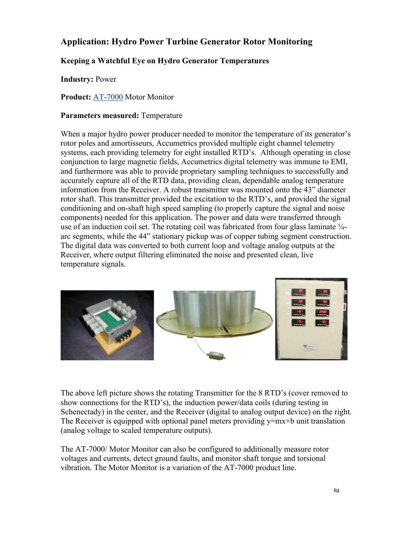## **Application: Hydro Power Turbine Generator Rotor Monitoring**

### **Keeping a Watchful Eye on Hydro Generator Temperatures**

**Industry:** Power

**Product:** [AT-7000 M](http://www.accumetrix.com/Multi-ChannelTelemetry/AT7000)otor Monitor

#### **Parameters measured:** Temperature

When a major hydro power producer needed to monitor the temperature of its generator's rotor poles and amortisseurs, Accumetrics provided multiple eight channel telemetry systems, each providing telemetry for eight installed RTD's. Although operating in close conjunction to large magnetic fields, Accumetrics digital telemetry was immune to EMI, and furthermore was able to provide proprietary sampling techniques to successfully and accurately capture all of the RTD data, providing clean, dependable analog temperature information from the Receiver. A robust transmitter was mounted onto the 43" diameter rotor shaft. This transmitter provided the excitation to the RTD's, and provided the signal conditioning and on-shaft high speed sampling (to properly capture the signal and noise components) needed for this application. The power and data were transferred through use of an induction coil set. The rotating coil was fabricated from four glass laminate  $\frac{1}{4}$ arc segments, while the 44" stationary pickup was of copper tubing segment construction. The digital data was converted to both current loop and voltage analog outputs at the Receiver, where output filtering eliminated the noise and presented clean, live temperature signals.



The above left picture shows the rotating Transmitter for the 8 RTD's (cover removed to show connections for the RTD's), the induction power/data coils (during testing in Schenectady) in the center, and the Receiver (digital to analog output device) on the right. The Receiver is equipped with optional panel meters providing  $y=mx+b$  unit translation (analog voltage to scaled temperature outputs).

The AT-7000/ Motor Monitor can also be configured to additionally measure rotor voltages and currents, detect ground faults, and monitor shaft torque and torsional vibration. The Motor Monitor is a variation of the AT-7000 product line.